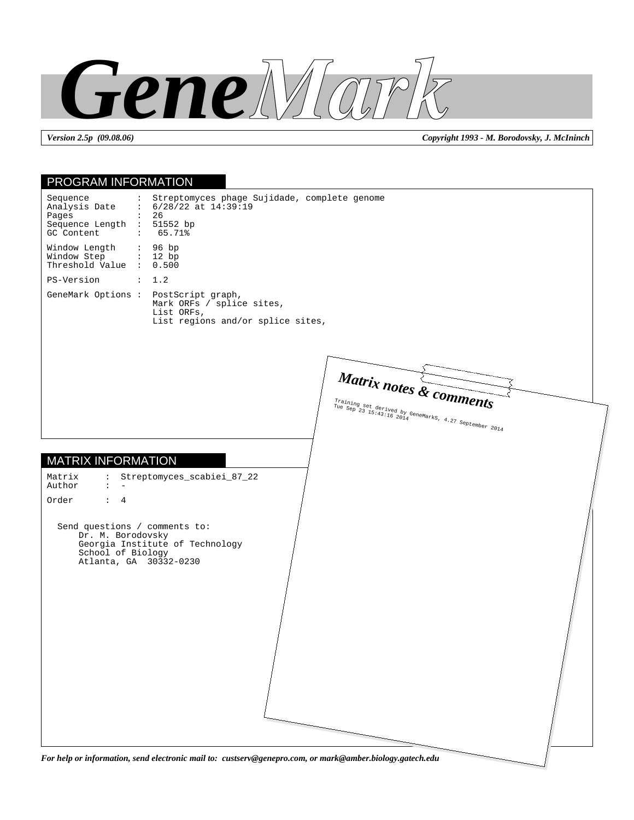

*Version 2.5p (09.08.06) Copyright 1993 - M. Borodovsky, J. McIninch*

## PROGRAM INFORMATION

| Sequence<br>$\sim 100$<br>Analysis Date<br>$\mathcal{Z}^{\text{max}}$<br>Pages<br>Sequence Length : 51552 bp<br>GC Content<br>$\ddot{\mathbf{z}}$ . | Streptomyces phage Sujidade, complete genome<br>$: 6/28/22$ at $14:39:19$<br>26<br>65.71% |  |
|-----------------------------------------------------------------------------------------------------------------------------------------------------|-------------------------------------------------------------------------------------------|--|
| Window Length<br>Window Step<br>Threshold Value :                                                                                                   | : 96 bp<br>: 12 bp<br>0.500                                                               |  |
| PS-Version                                                                                                                                          | : 1.2                                                                                     |  |
| GeneMark Options : PostScript graph,                                                                                                                | Mark ORFs / splice sites,<br>List ORFs,<br>List regions and/or splice sites,              |  |
|                                                                                                                                                     | Matrix notes & comments<br>Training set derived by GeneMarks, 4.27 September 2014         |  |
|                                                                                                                                                     |                                                                                           |  |
| <b>MATRIX INFORMATION</b><br>Matrix<br>$\mathcal{L}_{\mathcal{A}}$<br>Author<br>$\mathcal{L}$<br>$\overline{\phantom{a}}$                           | Streptomyces_scabiei_87_22                                                                |  |
| Order<br>$\colon$ 4                                                                                                                                 |                                                                                           |  |
| Send questions / comments to:<br>Dr. M. Borodovsky<br>School of Biology<br>Atlanta, GA 30332-0230                                                   | Georgia Institute of Technology                                                           |  |
|                                                                                                                                                     |                                                                                           |  |
|                                                                                                                                                     |                                                                                           |  |

*For help or information, send electronic mail to: custserv@genepro.com, or mark@amber.biology.gatech.edu*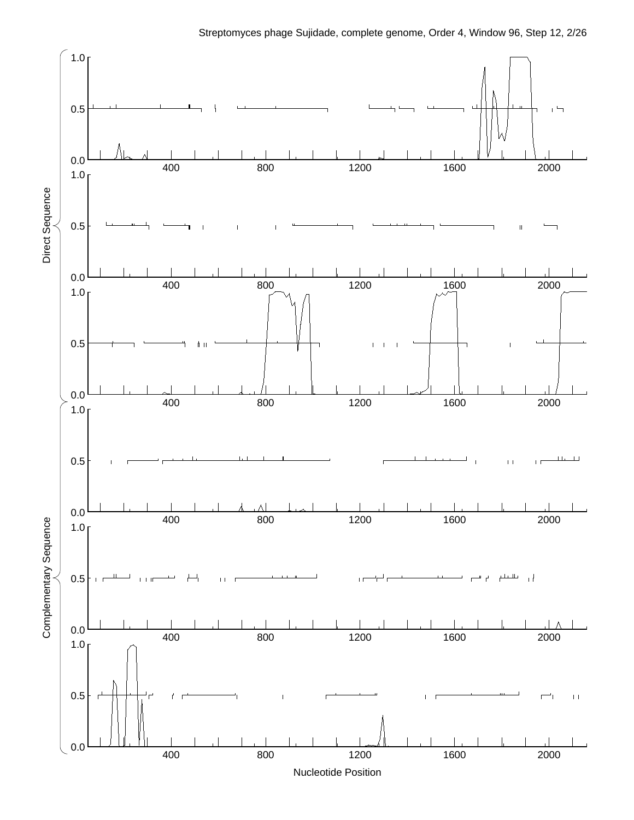

Streptomyces phage Sujidade, complete genome, Order 4, Window 96, Step 12, 2/26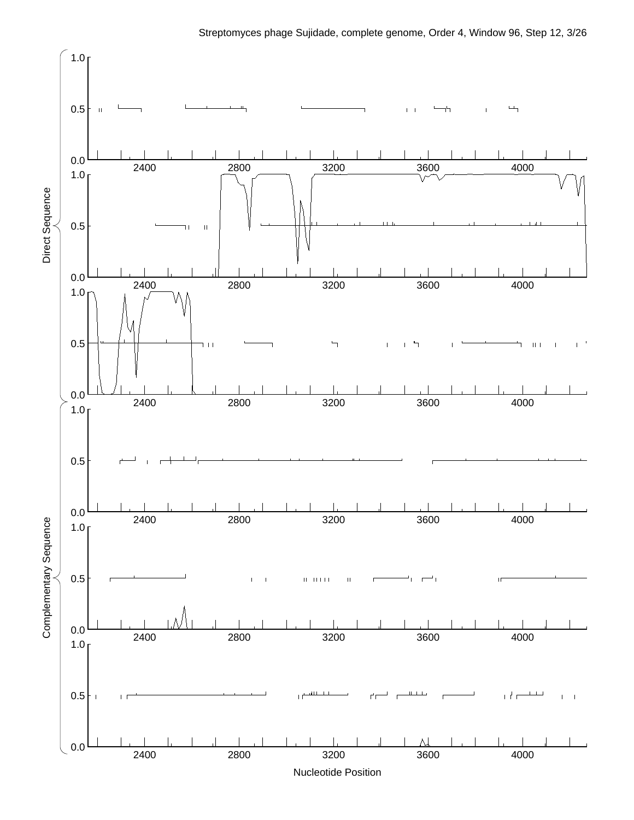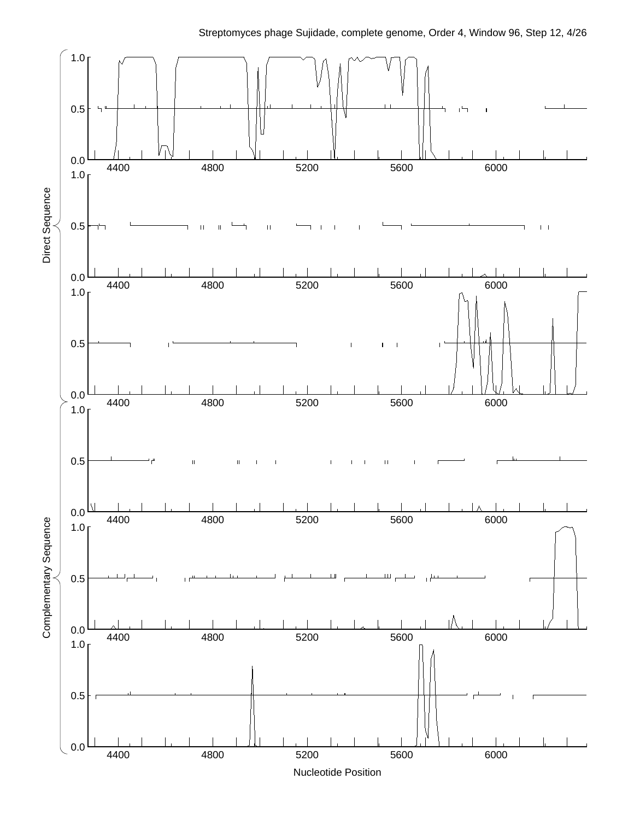

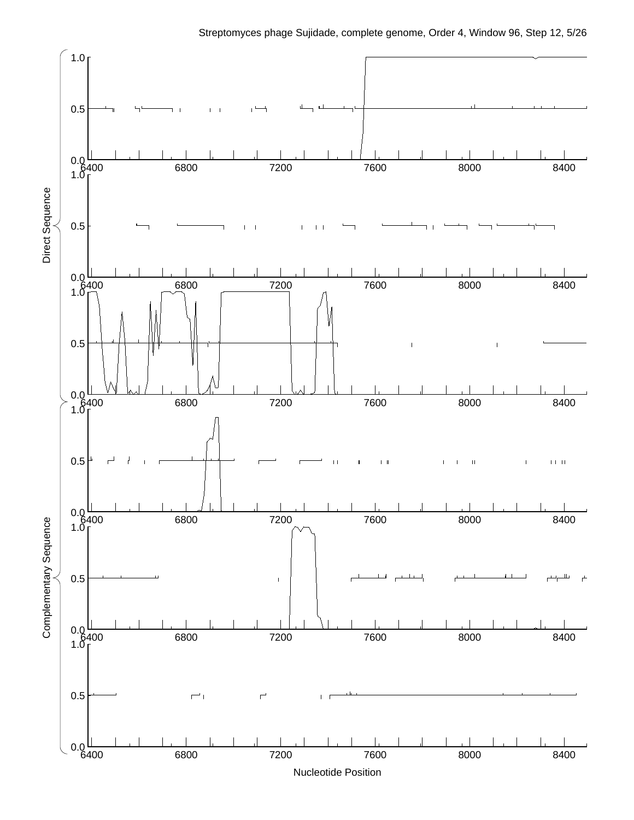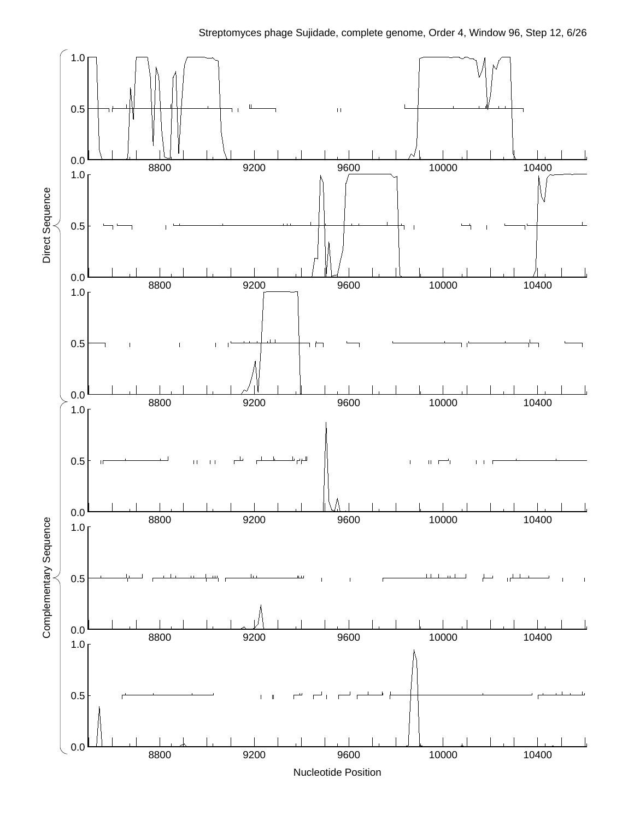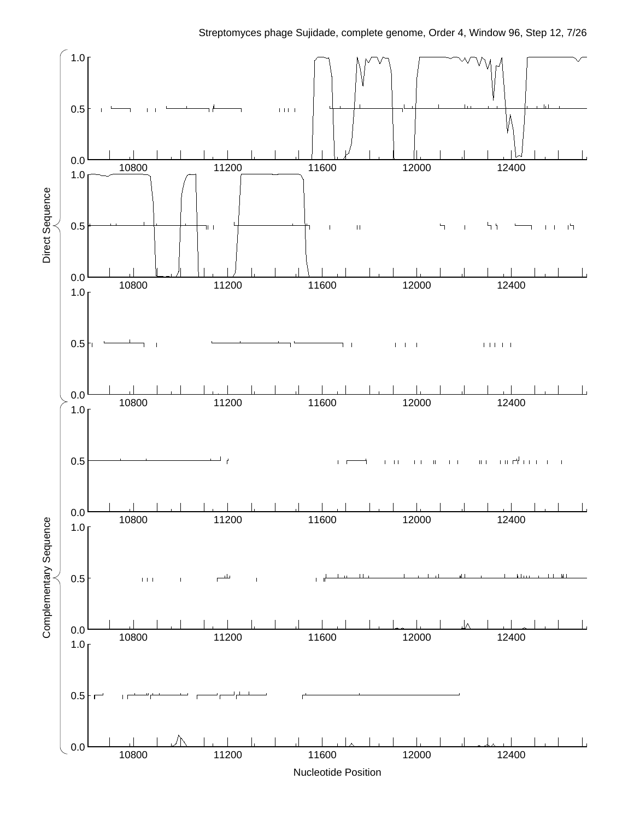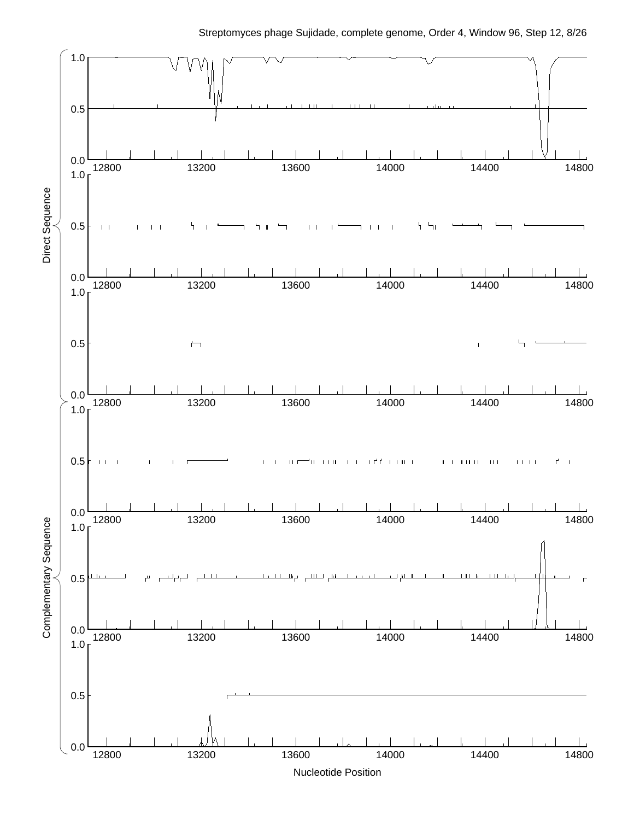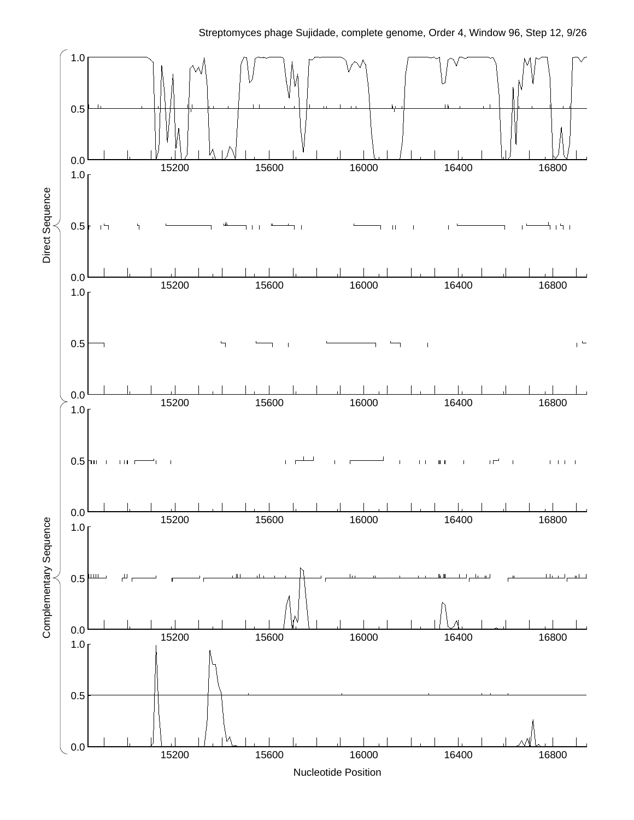Streptomyces phage Sujidade, complete genome, Order 4, Window 96, Step 12, 9/26

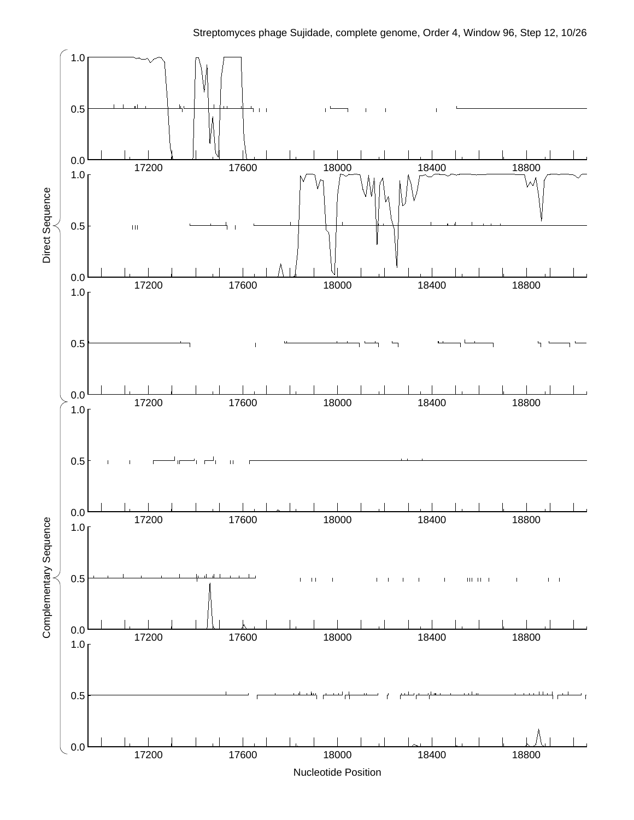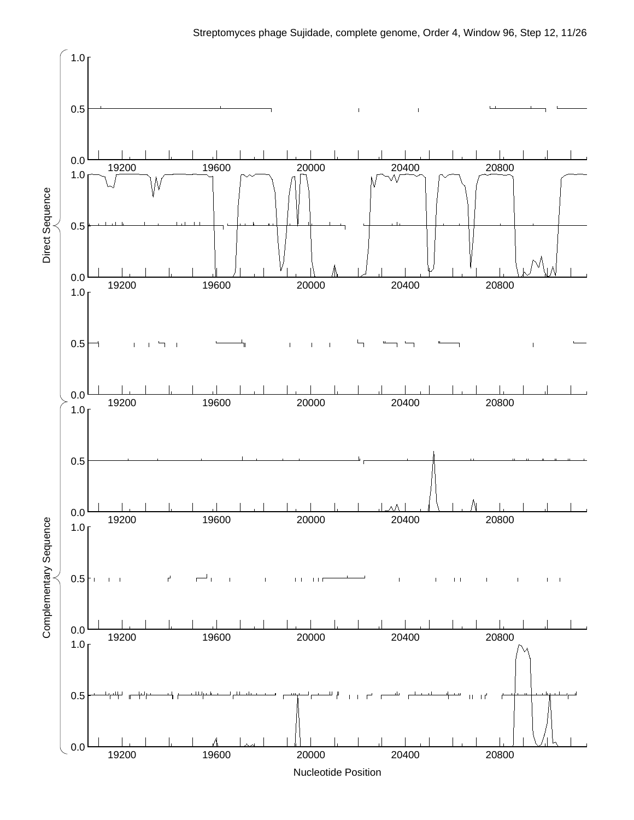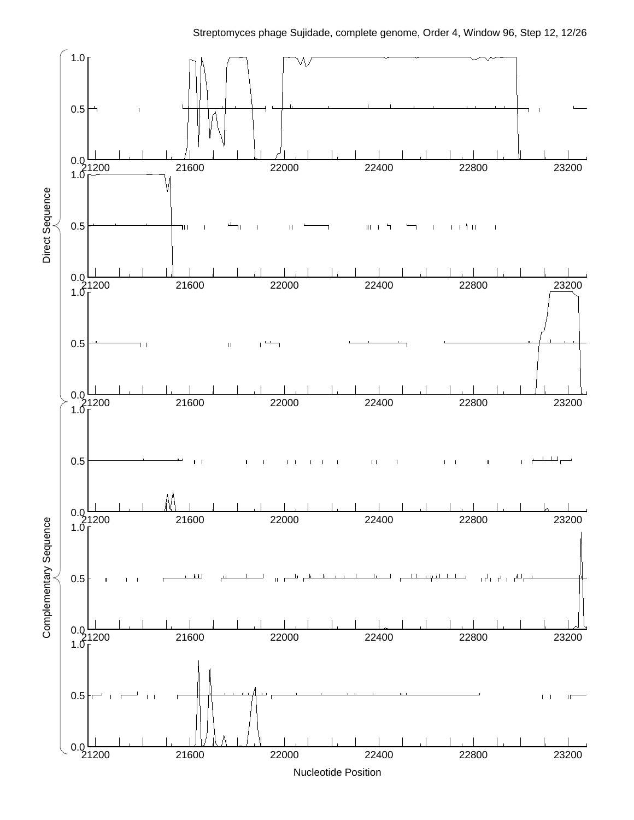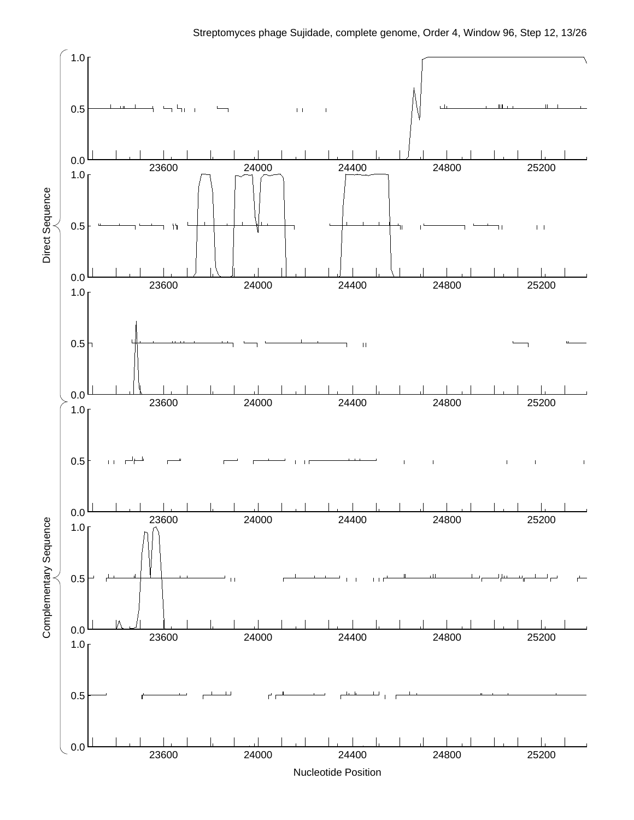

Streptomyces phage Sujidade, complete genome, Order 4, Window 96, Step 12, 13/26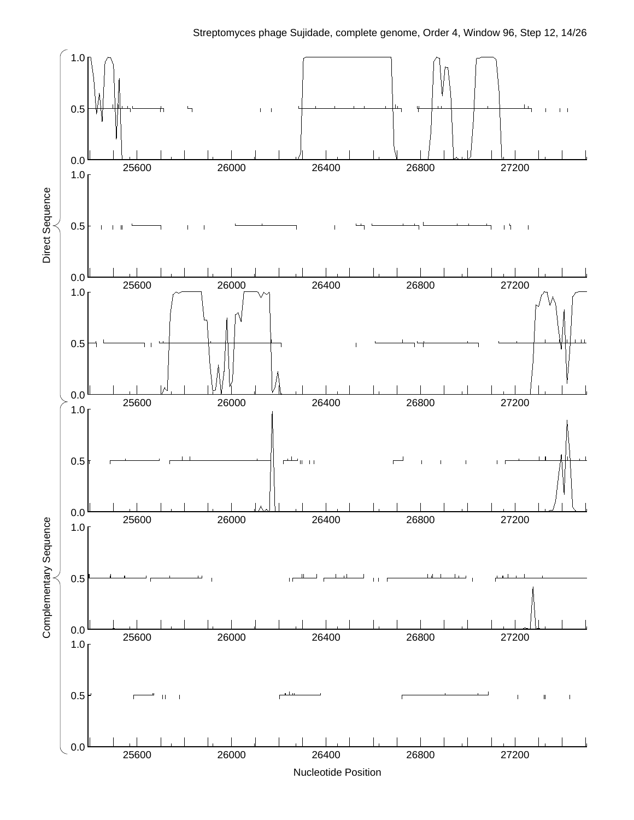![](_page_13_Figure_0.jpeg)

Streptomyces phage Sujidade, complete genome, Order 4, Window 96, Step 12, 14/26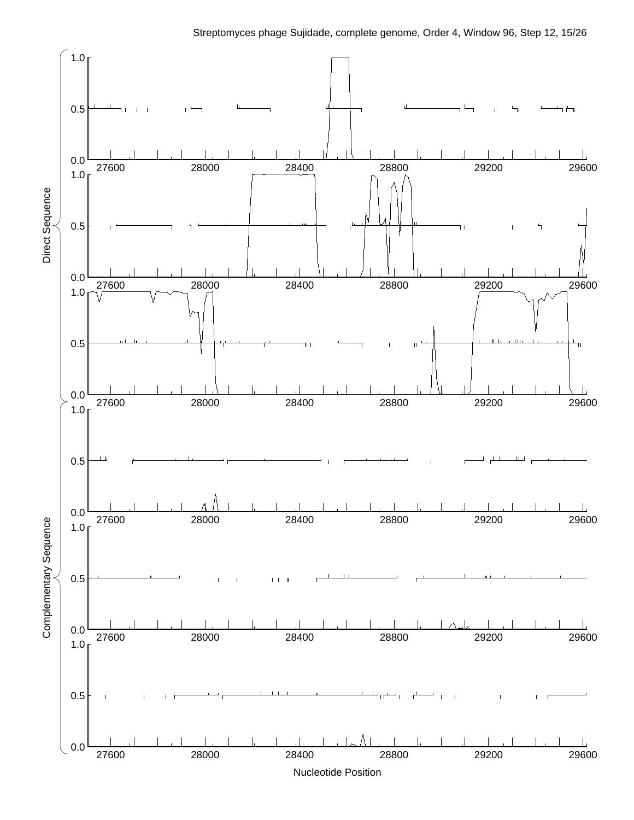![](_page_14_Figure_0.jpeg)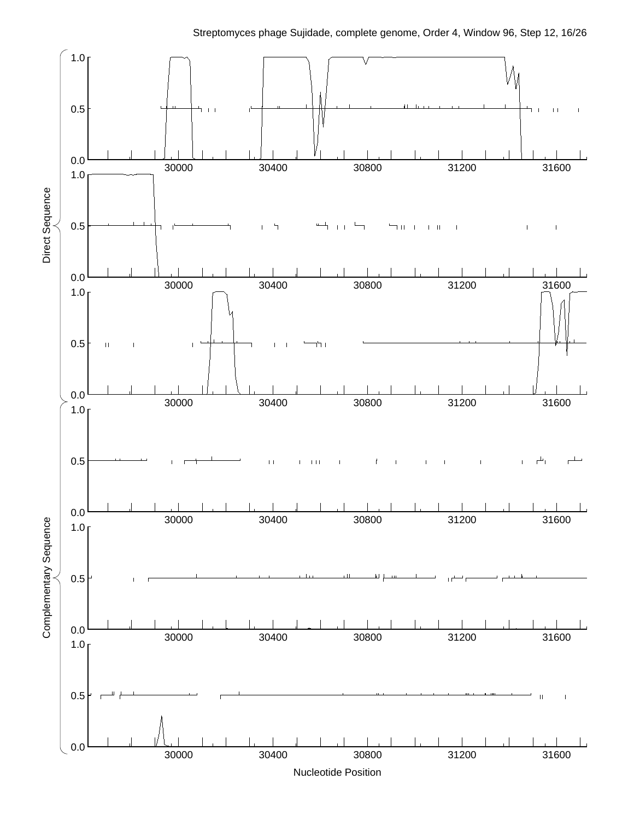![](_page_15_Figure_0.jpeg)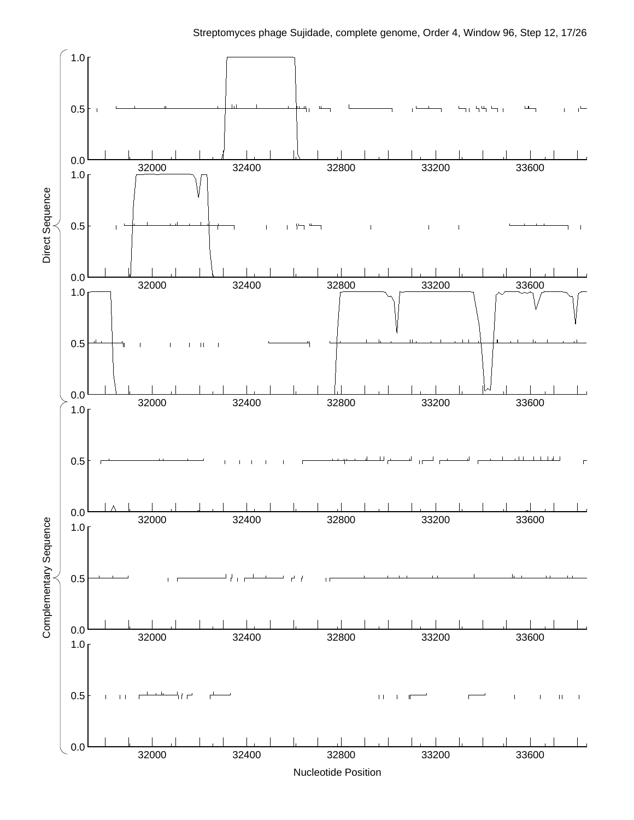![](_page_16_Figure_0.jpeg)

Streptomyces phage Sujidade, complete genome, Order 4, Window 96, Step 12, 17/26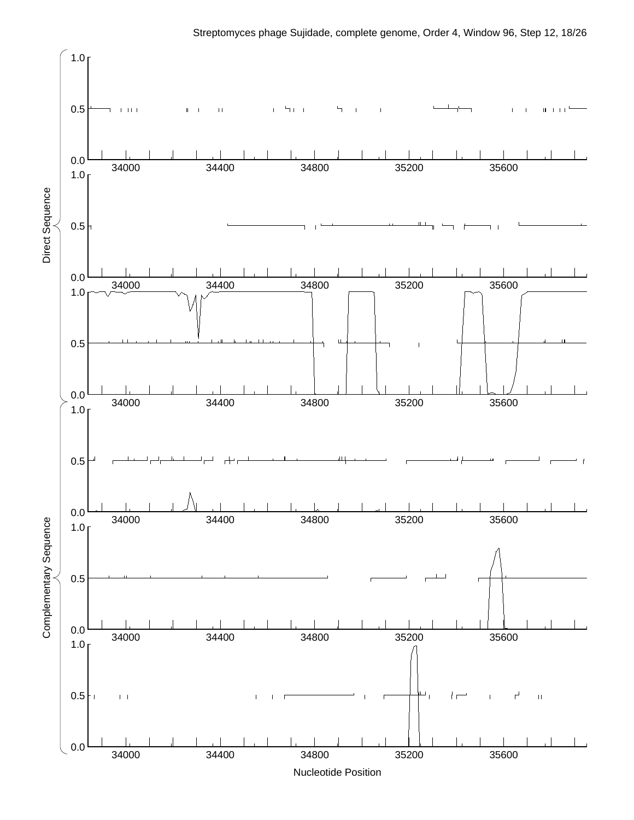![](_page_17_Figure_0.jpeg)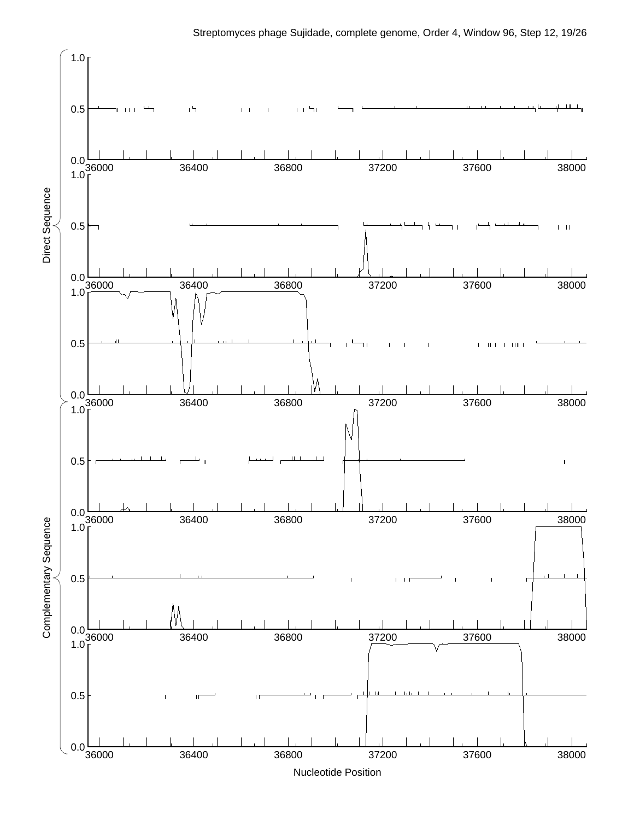![](_page_18_Figure_0.jpeg)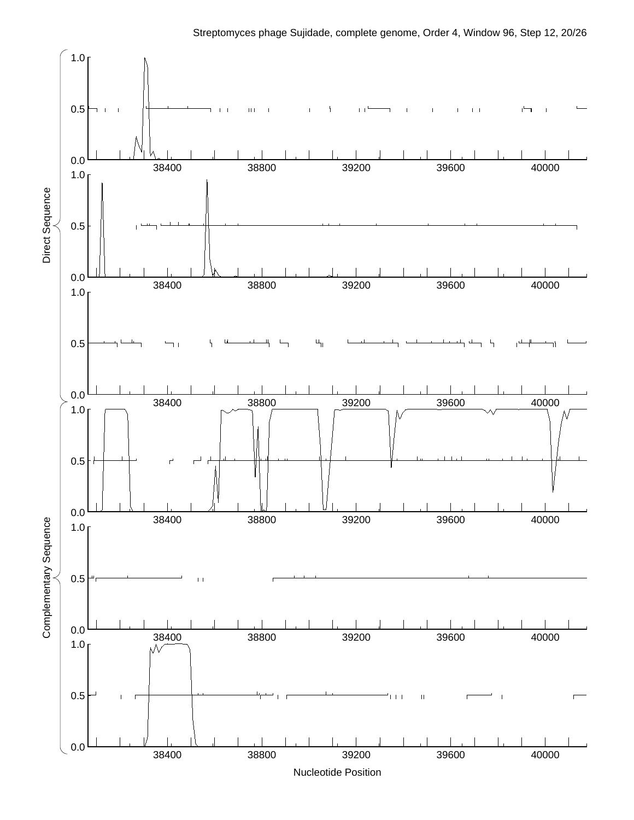![](_page_19_Figure_0.jpeg)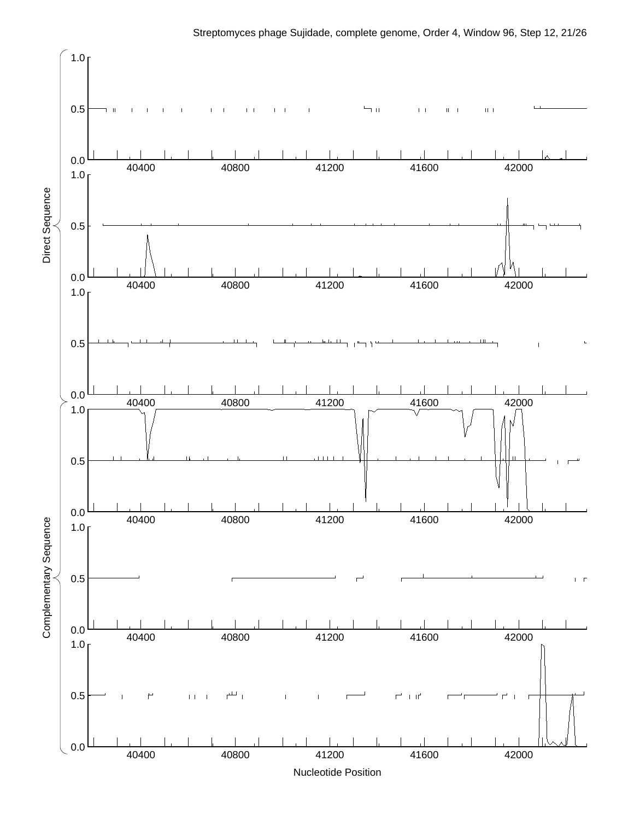![](_page_20_Figure_0.jpeg)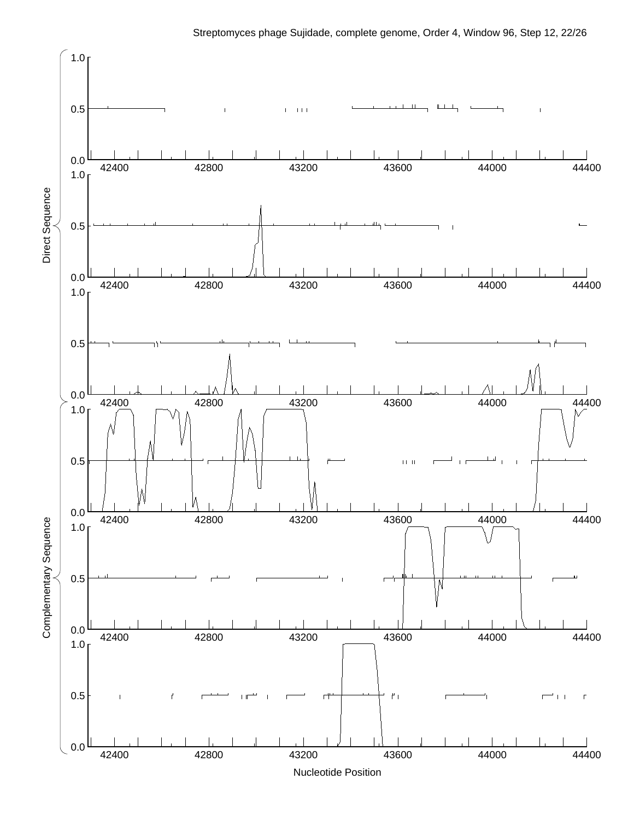![](_page_21_Figure_0.jpeg)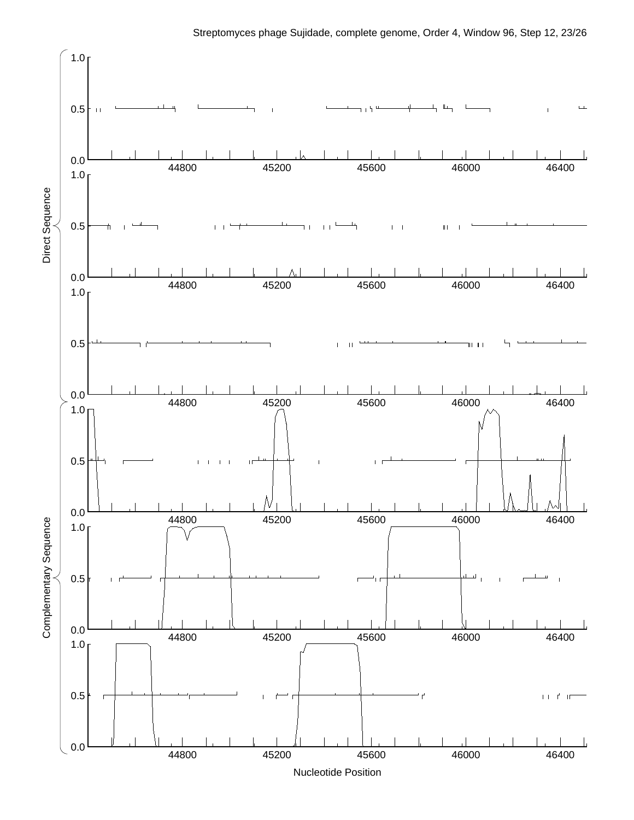![](_page_22_Figure_0.jpeg)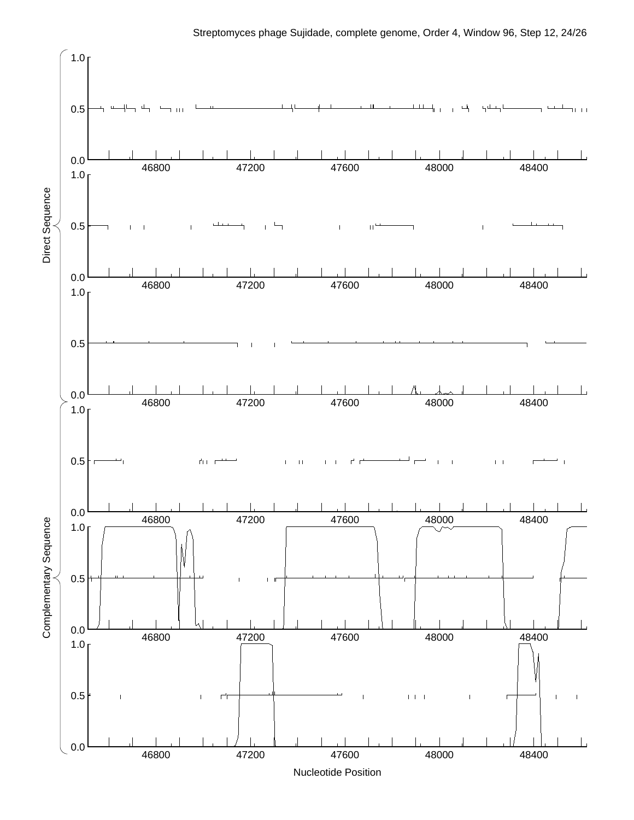![](_page_23_Figure_0.jpeg)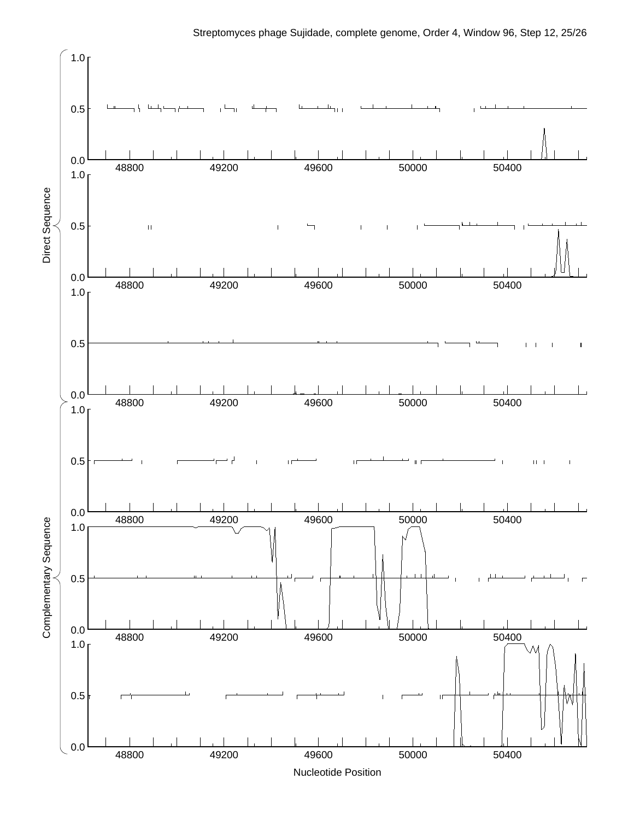![](_page_24_Figure_0.jpeg)